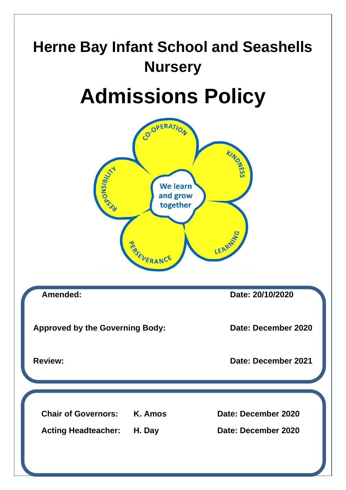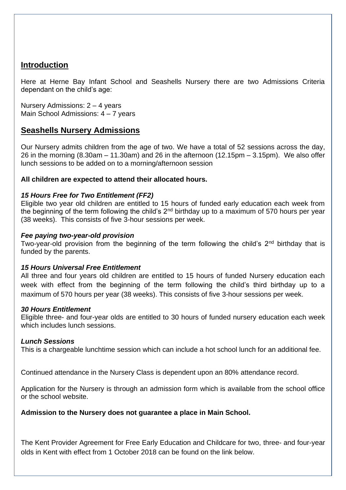# **Introduction**

Here at Herne Bay Infant School and Seashells Nursery there are two Admissions Criteria dependant on the child's age:

Nursery Admissions: 2 – 4 years Main School Admissions: 4 – 7 years

# **Seashells Nursery Admissions**

Our Nursery admits children from the age of two. We have a total of 52 sessions across the day, 26 in the morning (8.30am – 11.30am) and 26 in the afternoon (12.15pm – 3.15pm). We also offer lunch sessions to be added on to a morning/afternoon session

## **All children are expected to attend their allocated hours.**

## *15 Hours Free for Two Entitlement (FF2)*

Eligible two year old children are entitled to 15 hours of funded early education each week from the beginning of the term following the child's  $2<sup>nd</sup>$  birthday up to a maximum of 570 hours per year (38 weeks). This consists of five 3-hour sessions per week.

#### *Fee paying two-year-old provision*

Two-year-old provision from the beginning of the term following the child's  $2<sup>nd</sup>$  birthday that is funded by the parents.

#### *15 Hours Universal Free Entitlement*

All three and four years old children are entitled to 15 hours of funded Nursery education each week with effect from the beginning of the term following the child's third birthday up to a maximum of 570 hours per year (38 weeks). This consists of five 3-hour sessions per week.

#### *30 Hours Entitlement*

Eligible three- and four-year olds are entitled to 30 hours of funded nursery education each week which includes lunch sessions.

#### *Lunch Sessions*

This is a chargeable lunchtime session which can include a hot school lunch for an additional fee.

Continued attendance in the Nursery Class is dependent upon an 80% attendance record.

Application for the Nursery is through an admission form which is available from the school office or the school website.

#### **Admission to the Nursery does not guarantee a place in Main School.**

The Kent Provider Agreement for Free Early Education and Childcare for two, three- and four-year olds in Kent with effect from 1 October 2018 can be found on the link below.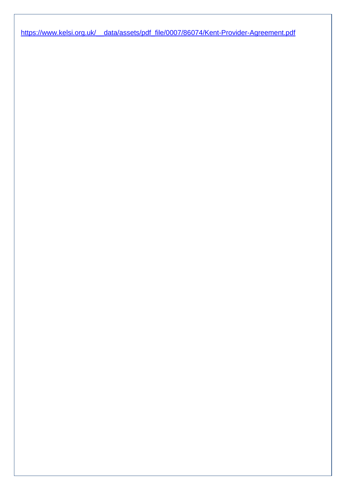[https://www.kelsi.org.uk/\\_\\_data/assets/pdf\\_file/0007/86074/Kent-Provider-Agreement.pdf](about:blank)